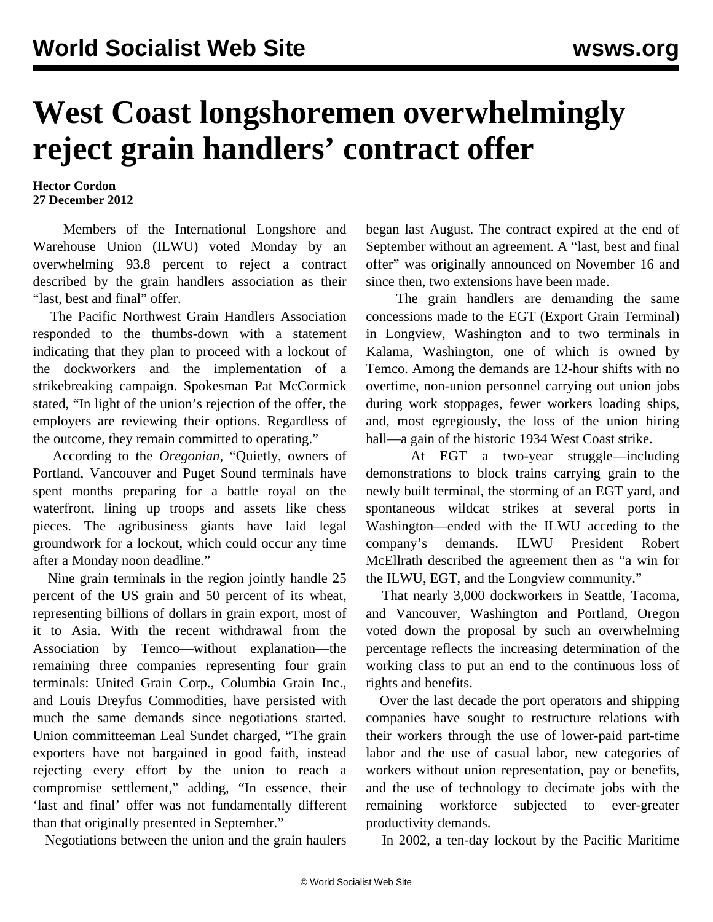## **West Coast longshoremen overwhelmingly reject grain handlers' contract offer**

## **Hector Cordon 27 December 2012**

 Members of the International Longshore and Warehouse Union (ILWU) voted Monday by an overwhelming 93.8 percent to reject a contract described by the grain handlers association as their "last, best and final" offer.

 The Pacific Northwest Grain Handlers Association responded to the thumbs-down with a statement indicating that they plan to proceed with a lockout of the dockworkers and the implementation of a strikebreaking campaign. Spokesman Pat McCormick stated, "In light of the union's rejection of the offer, the employers are reviewing their options. Regardless of the outcome, they remain committed to operating."

 According to the *Oregonian*, "Quietly, owners of Portland, Vancouver and Puget Sound terminals have spent months preparing for a battle royal on the waterfront, lining up troops and assets like chess pieces. The agribusiness giants have laid legal groundwork for a lockout, which could occur any time after a Monday noon deadline."

 Nine grain terminals in the region jointly handle 25 percent of the US grain and 50 percent of its wheat, representing billions of dollars in grain export, most of it to Asia. With the recent withdrawal from the Association by Temco—without explanation—the remaining three companies representing four grain terminals: United Grain Corp., Columbia Grain Inc., and Louis Dreyfus Commodities, have persisted with much the same demands since negotiations started. Union committeeman Leal Sundet charged, "The grain exporters have not bargained in good faith, instead rejecting every effort by the union to reach a compromise settlement," adding, "In essence, their 'last and final' offer was not fundamentally different than that originally presented in September."

Negotiations between the union and the grain haulers

began last August. The contract expired at the end of September without an agreement. A "last, best and final offer" was originally announced on November 16 and since then, two extensions have been made.

 The grain handlers are demanding the same concessions made to the EGT (Export Grain Terminal) in Longview, Washington and to two terminals in Kalama, Washington, one of which is owned by Temco. Among the demands are 12-hour shifts with no overtime, non-union personnel carrying out union jobs during work stoppages, fewer workers loading ships, and, most egregiously, the loss of the union hiring hall—a gain of the historic 1934 West Coast strike.

 At EGT a two-year struggle—including demonstrations to block trains carrying grain to the newly built terminal, the storming of an EGT yard, and spontaneous wildcat strikes at several ports in Washington—ended with the ILWU acceding to the company's demands. ILWU President Robert McEllrath described the agreement then as "a win for the ILWU, EGT, and the Longview community."

 That nearly 3,000 dockworkers in Seattle, Tacoma, and Vancouver, Washington and Portland, Oregon voted down the proposal by such an overwhelming percentage reflects the increasing determination of the working class to put an end to the continuous loss of rights and benefits.

 Over the last decade the port operators and shipping companies have sought to restructure relations with their workers through the use of lower-paid part-time labor and the use of casual labor, new categories of workers without union representation, pay or benefits, and the use of technology to decimate jobs with the remaining workforce subjected to ever-greater productivity demands.

In 2002, a ten-day lockout by the Pacific Maritime